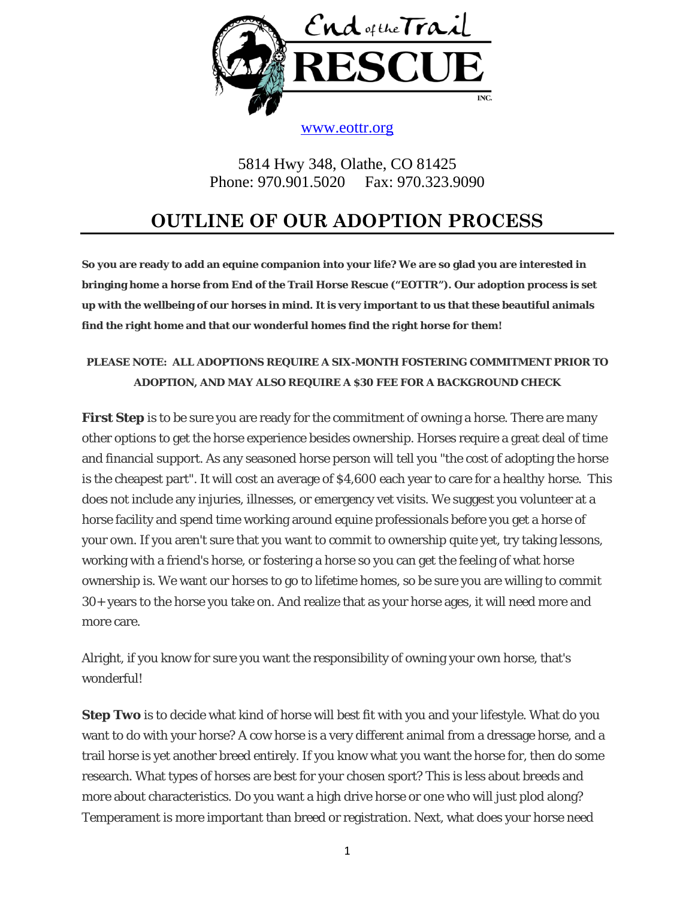

[www.eottr.org](http://www.eottr.org/)

5814 Hwy 348, Olathe, CO 81425 Phone: 970.901.5020 Fax: 970.323.9090

## **OUTLINE OF OUR ADOPTION PROCESS**

**So you are ready to add an equine companion into your life? We are so glad you are interested in bringing home a horse from End of the Trail Horse Rescue ("EOTTR"). Our adoption process is set up with the wellbeing of our horses in mind. It is very important to us that these beautiful animals find the right home and that our wonderful homes find the right horse for them!**

## **PLEASE NOTE: ALL ADOPTIONS REQUIRE A SIX-MONTH FOSTERING COMMITMENT PRIOR TO ADOPTION, AND MAY ALSO REQUIRE A \$30 FEE FOR A BACKGROUND CHECK**

**First Step** is to be sure you are ready for the commitment of owning a horse. There are many other options to get the horse experience besides ownership. Horses require a great deal of time and financial support. As any seasoned horse person will tell you "the cost of adopting the horse is the cheapest part". It will cost an average of \$4,600 each year to care for a *healthy* horse. This does not include any injuries, illnesses, or emergency vet visits. We suggest you volunteer at a horse facility and spend time working around equine professionals before you get a horse of your own. If you aren't sure that you want to commit to ownership quite yet, try taking lessons, working with a friend's horse, or fostering a horse so you can get the feeling of what horse ownership is. We want our horses to go to lifetime homes, so be sure you are willing to commit 30+ years to the horse you take on. And realize that as your horse ages, it will need more and more care.

Alright, if you know for sure you want the responsibility of owning your own horse, that's wonderful!

**Step Two** is to decide what kind of horse will best fit with you and your lifestyle. What do you want to do with your horse? A cow horse is a very different animal from a dressage horse, and a trail horse is yet another breed entirely. If you know what you want the horse for, then do some research. What types of horses are best for your chosen sport? This is less about breeds and more about characteristics. Do you want a high drive horse or one who will just plod along? Temperament is more important than breed or registration. Next, what does your horse need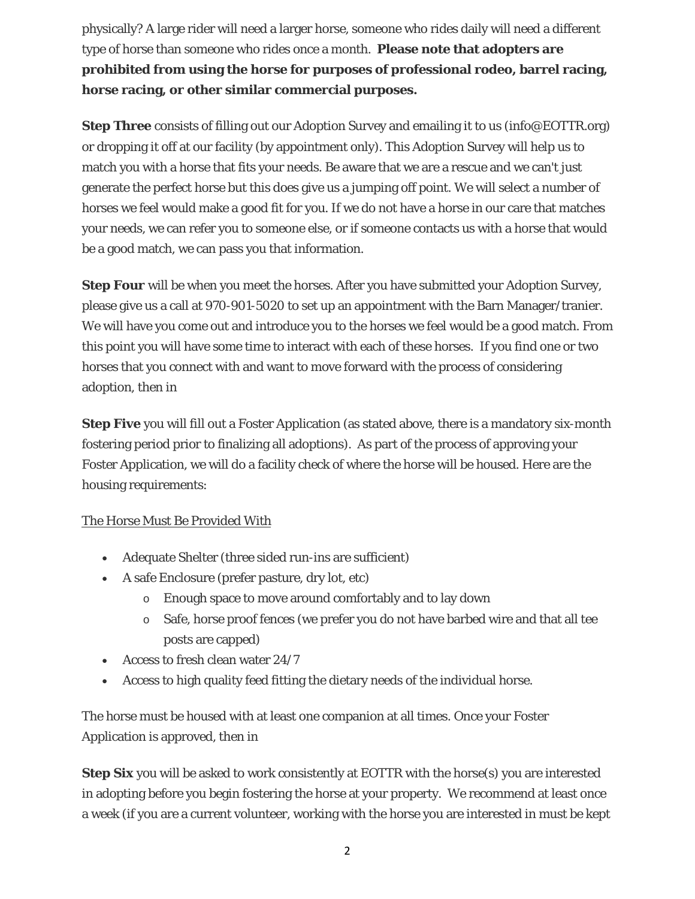physically? A large rider will need a larger horse, someone who rides daily will need a different type of horse than someone who rides once a month. **Please note that adopters are prohibited from using the horse for purposes of professional rodeo, barrel racing, horse racing, or other similar commercial purposes.**

**Step Three** consists of filling out our Adoption Survey and emailing it to us (info@EOTTR.org) or dropping it off at our facility (by appointment only). This Adoption Survey will help us to match you with a horse that fits your needs. Be aware that we are a rescue and we can't just generate the perfect horse but this does give us a jumping off point. We will select a number of horses we feel would make a good fit for you. If we do not have a horse in our care that matches your needs, we can refer you to someone else, or if someone contacts us with a horse that would be a good match, we can pass you that information.

**Step Four** will be when you meet the horses. After you have submitted your Adoption Survey, please give us a call at 970-901-5020 to set up an appointment with the Barn Manager/tranier. We will have you come out and introduce you to the horses we feel would be a good match. From this point you will have some time to interact with each of these horses. If you find one or two horses that you connect with and want to move forward with the process of considering adoption, then in

**Step Five** you will fill out a Foster Application (as stated above, there is a mandatory six-month fostering period prior to finalizing all adoptions). As part of the process of approving your Foster Application, we will do a facility check of where the horse will be housed. Here are the housing requirements:

## The Horse Must Be Provided With

- Adequate Shelter (three sided run-ins are sufficient)
- A safe Enclosure (prefer pasture, dry lot, etc)
	- o Enough space to move around comfortably and to lay down
	- $\circ$  Safe, horse proof fences (we prefer you do not have barbed wire and that all tee posts are capped)
- Access to fresh clean water 24/7
- Access to high quality feed fitting the dietary needs of the individual horse.

The horse must be housed with at least one companion at all times. Once your Foster Application is approved, then in

**Step Six** you will be asked to work consistently at EOTTR with the horse(s) you are interested in adopting before you begin fostering the horse at your property. We recommend at least once a week (if you are a current volunteer, working with the horse you are interested in must be kept